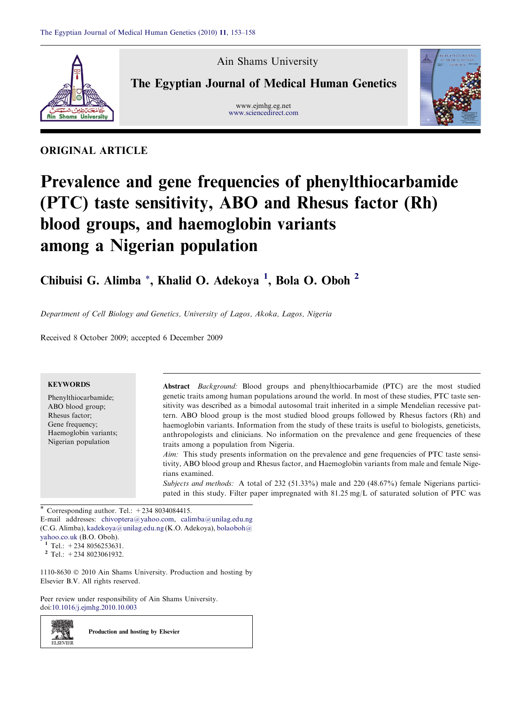

Ain Shams University

The Egyptian Journal of Medical Human Genetics

www.ejmhg.eg.net [www.sciencedirect.com](http://www.sciencedirect.com/science/journal/11108630)



# ORIGINAL ARTICLE

# Prevalence and gene frequencies of phenylthiocarbamide (PTC) taste sensitivity, ABO and Rhesus factor (Rh) blood groups, and haemoglobin variants among a Nigerian population

Chibuisi G. Alimba \*, Khalid O. Adekoya<sup>1</sup>, Bola O. Oboh<sup>2</sup>

Department of Cell Biology and Genetics, University of Lagos, Akoka, Lagos, Nigeria

Received 8 October 2009; accepted 6 December 2009

| <b>KEYWORDS</b><br>Phenylthiocarbamide;<br>ABO blood group;<br>Rhesus factor:<br>Gene frequency;<br>Haemoglobin variants;<br>Nigerian population | <b>Abstract</b> <i>Background:</i> Blood groups and phenylthiocarbamide (PTC) are the most studied<br>genetic traits among human populations around the world. In most of these studies, PTC taste sen-<br>sitivity was described as a bimodal autosomal trait inherited in a simple Mendelian recessive pat-<br>tern. ABO blood group is the most studied blood groups followed by Rhesus factors (Rh) and<br>haemoglobin variants. Information from the study of these traits is useful to biologists, geneticists,<br>anthropologists and clinicians. No information on the prevalence and gene frequencies of these<br>traits among a population from Nigeria.<br>Aim: This study presents information on the prevalence and gene frequencies of PTC taste sensi-<br>tivity, ABO blood group and Rhesus factor, and Haemoglobin variants from male and female Nige-<br>rians examined.<br>Subjects and methods: A total of 232 (51.33%) male and 220 (48.67%) female Nigerians partici-<br>pated in this study. Filter paper impregnated with $81.25 \text{ mg/L}$ of saturated solution of PTC was |
|--------------------------------------------------------------------------------------------------------------------------------------------------|---------------------------------------------------------------------------------------------------------------------------------------------------------------------------------------------------------------------------------------------------------------------------------------------------------------------------------------------------------------------------------------------------------------------------------------------------------------------------------------------------------------------------------------------------------------------------------------------------------------------------------------------------------------------------------------------------------------------------------------------------------------------------------------------------------------------------------------------------------------------------------------------------------------------------------------------------------------------------------------------------------------------------------------------------------------------------------------------------------|
|--------------------------------------------------------------------------------------------------------------------------------------------------|---------------------------------------------------------------------------------------------------------------------------------------------------------------------------------------------------------------------------------------------------------------------------------------------------------------------------------------------------------------------------------------------------------------------------------------------------------------------------------------------------------------------------------------------------------------------------------------------------------------------------------------------------------------------------------------------------------------------------------------------------------------------------------------------------------------------------------------------------------------------------------------------------------------------------------------------------------------------------------------------------------------------------------------------------------------------------------------------------------|

\* Corresponding author. Tel.:  $+2348034084415$ .

E-mail addresses: [chivoptera@yahoo.com](mailto:chivoptera@yahoo.com), [calimba@unilag.edu.ng](mailto:calimba@unilag.edu.ng) (C.G. Alimba), [kadekoya@unilag.edu.ng](mailto:kadekoya@unilag.edu.ng) (K.O. Adekoya), [bolaoboh@](mailto:bolaoboh@yahoo.co.uk) [yahoo.co.uk](mailto:bolaoboh@yahoo.co.uk) (B.O. Oboh).

 $1$  Tel.: +234 8056253631.

 $2$  Tel.: +234 8023061932.

 $1110-8630$   $\odot$  2010 Ain Shams University. Production and hosting by Elsevier B.V. All rights reserved.

Peer review under responsibility of Ain Shams University. doi[:10.1016/j.ejmhg.2010.10.003](http://dx.doi.org/10.1016/j.ejmhg.2010.10.003)

Production and hosting by Elsevier

z. SI **ELSEVIER**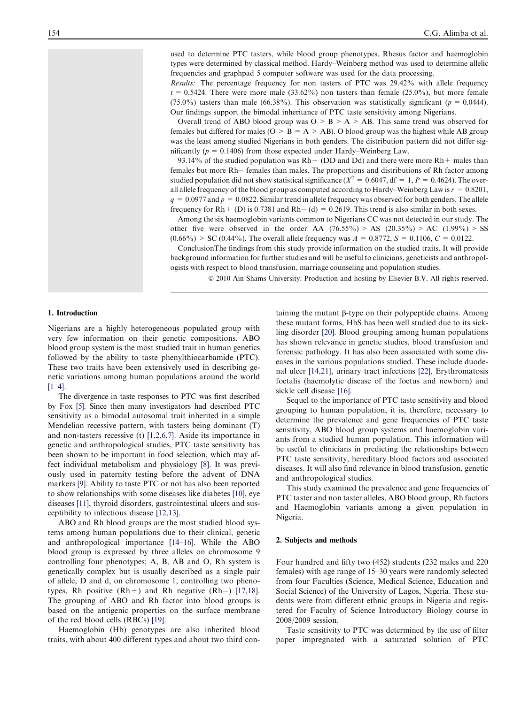used to determine PTC tasters, while blood group phenotypes, Rhesus factor and haemoglobin types were determined by classical method. Hardy–Weinberg method was used to determine allelic frequencies and graphpad 5 computer software was used for the data processing.

Results: The percentage frequency for non tasters of PTC was 29.42% with allele frequency  $t = 0.5424$ . There were more male  $(33.62\%)$  non tasters than female  $(25.0\%)$ , but more female (75.0%) tasters than male (66.38%). This observation was statistically significant ( $p = 0.0444$ ). Our findings support the bimodal inheritance of PTC taste sensitivity among Nigerians.

Overall trend of ABO blood group was  $O > B > A > AB$ . This same trend was observed for females but differed for males ( $O > B = A > AB$ ). O blood group was the highest while AB group was the least among studied Nigerians in both genders. The distribution pattern did not differ significantly ( $p = 0.1406$ ) from those expected under Hardy–Weinberg Law.

93.14% of the studied population was  $Rh + (DD \text{ and } Dd)$  and there were more  $Rh +$  males than females but more Rh- females than males. The proportions and distributions of Rh factor among studied population did not show statistical significance ( $X^2 = 0.6047$ , df = 1, P = 0.4624). The overall allele frequency of the blood group as computed according to Hardy–Weinberg Law is  $r = 0.8201$ ,  $q = 0.0977$  and  $p = 0.0822$ . Similar trend in allele frequency was observed for both genders. The allele frequency for  $Rh + (D)$  is 0.7381 and  $Rh - (d) = 0.2619$ . This trend is also similar in both sexes.

Among the six haemoglobin variants common to Nigerians CC was not detected in our study. The other five were observed in the order AA  $(76.55\%) > AS$   $(20.35\%) > AC$   $(1.99\%) > SS$  $(0.66\%) > SC (0.44\%).$  The overall allele frequency was  $A = 0.8772$ ,  $S = 0.1106$ ,  $C = 0.0122$ .

ConclusionThe findings from this study provide information on the studied traits. It will provide background information for further studies and will be useful to clinicians, geneticists and anthropologists with respect to blood transfusion, marriage counseling and population studies.

© 2010 Ain Shams University. Production and hosting by Elsevier B.V. All rights reserved.

### 1. Introduction

Nigerians are a highly heterogeneous populated group with very few information on their genetic compositions. ABO blood group system is the most studied trait in human genetics followed by the ability to taste phenylthiocarbamide (PTC). These two traits have been extensively used in describing genetic variations among human populations around the world  $[1-4]$ .

The divergence in taste responses to PTC was first described by Fox [\[5\].](#page-4-0) Since then many investigators had described PTC sensitivity as a bimodal autosomal trait inherited in a simple Mendelian recessive pattern, with tasters being dominant (T) and non-tasters recessive (t) [\[1,2,6,7\].](#page-4-0) Aside its importance in genetic and anthropological studies, PTC taste sensitivity has been shown to be important in food selection, which may affect individual metabolism and physiology [\[8\].](#page-4-0) It was previously used in paternity testing before the advent of DNA markers [\[9\].](#page-4-0) Ability to taste PTC or not has also been reported to show relationships with some diseases like diabetes [\[10\],](#page-4-0) eye diseases [\[11\]](#page-4-0), thyroid disorders, gastrointestinal ulcers and susceptibility to infectious disease [\[12,13\].](#page-4-0)

ABO and Rh blood groups are the most studied blood systems among human populations due to their clinical, genetic and anthropological importance [\[14–16\].](#page-4-0) While the ABO blood group is expressed by three alleles on chromosome 9 controlling four phenotypes; A, B, AB and O, Rh system is genetically complex but is usually described as a single pair of allele, D and d, on chromosome 1, controlling two phenotypes, Rh positive  $(Rh+)$  and Rh negative  $(Rh-)$  [\[17,18\]](#page-5-0). The grouping of ABO and Rh factor into blood groups is based on the antigenic properties on the surface membrane of the red blood cells (RBCs) [\[19\].](#page-5-0)

Haemoglobin (Hb) genotypes are also inherited blood traits, with about 400 different types and about two third con-

taining the mutant  $\beta$ -type on their polypeptide chains. Among these mutant forms, HbS has been well studied due to its sickling disorder [\[20\]](#page-5-0). Blood grouping among human populations has shown relevance in genetic studies, blood transfusion and forensic pathology. It has also been associated with some diseases in the various populations studied. These include duodenal ulcer [\[14,21\],](#page-4-0) urinary tract infections [\[22\],](#page-5-0) Erythromatosis foetalis (haemolytic disease of the foetus and newborn) and sickle cell disease [\[16\]](#page-4-0).

Sequel to the importance of PTC taste sensitivity and blood grouping to human population, it is, therefore, necessary to determine the prevalence and gene frequencies of PTC taste sensitivity, ABO blood group systems and haemoglobin variants from a studied human population. This information will be useful to clinicians in predicting the relationships between PTC taste sensitivity, hereditary blood factors and associated diseases. It will also find relevance in blood transfusion, genetic and anthropological studies.

This study examined the prevalence and gene frequencies of PTC taster and non taster alleles, ABO blood group, Rh factors and Haemoglobin variants among a given population in Nigeria.

#### 2. Subjects and methods

Four hundred and fifty two (452) students (232 males and 220 females) with age range of 15–30 years were randomly selected from four Faculties (Science, Medical Science, Education and Social Science) of the University of Lagos, Nigeria. These students were from different ethnic groups in Nigeria and registered for Faculty of Science Introductory Biology course in 2008/2009 session.

Taste sensitivity to PTC was determined by the use of filter paper impregnated with a saturated solution of PTC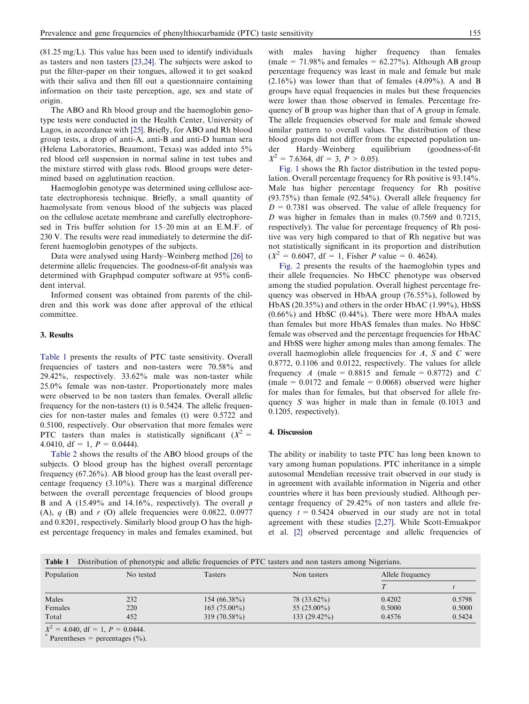(81.25 mg/L). This value has been used to identify individuals as tasters and non tasters [\[23,24\]](#page-5-0). The subjects were asked to put the filter-paper on their tongues, allowed it to get soaked with their saliva and then fill out a questionnaire containing information on their taste perception, age, sex and state of origin.

The ABO and Rh blood group and the haemoglobin genotype tests were conducted in the Health Center, University of Lagos, in accordance with [\[25\]](#page-5-0). Briefly, for ABO and Rh blood group tests, a drop of anti-A, anti-B and anti-D human sera (Helena Laboratories, Beaumont, Texas) was added into 5% red blood cell suspension in normal saline in test tubes and the mixture stirred with glass rods. Blood groups were determined based on agglutination reaction.

Haemoglobin genotype was determined using cellulose acetate electrophoresis technique. Briefly, a small quantity of haemolysate from venous blood of the subjects was placed on the cellulose acetate membrane and carefully electrophoresed in Tris buffer solution for 15–20 min at an E.M.F. of 230 V. The results were read immediately to determine the different haemoglobin genotypes of the subjects.

Data were analysed using Hardy–Weinberg method [\[26\]](#page-5-0) to determine allelic frequencies. The goodness-of-fit analysis was determined with Graphpad computer software at 95% confident interval.

Informed consent was obtained from parents of the children and this work was done after approval of the ethical committee.

#### 3. Results

Table 1 presents the results of PTC taste sensitivity. Overall frequencies of tasters and non-tasters were 70.58% and 29.42%, respectively. 33.62% male was non-taster while 25.0% female was non-taster. Proportionately more males were observed to be non tasters than females. Overall allelic frequency for the non-tasters (t) is 0.5424. The allelic frequencies for non-taster males and females (t) were 0.5722 and 0.5100, respectively. Our observation that more females were PTC tasters than males is statistically significant  $(X^2 =$ 4.0410, df = 1,  $P = 0.0444$ ).

[Table 2](#page-3-0) shows the results of the ABO blood groups of the subjects. O blood group has the highest overall percentage frequency (67.26%). AB blood group has the least overall percentage frequency (3.10%). There was a marginal difference between the overall percentage frequencies of blood groups B and A (15.49% and 14.16%, respectively). The overall  $p$ (A),  $q$  (B) and r (O) allele frequencies were 0.0822, 0.0977 and 0.8201, respectively. Similarly blood group O has the highest percentage frequency in males and females examined, but with males having higher frequency than females (male =  $71.98\%$  and females =  $62.27\%$ ). Although AB group percentage frequency was least in male and female but male  $(2.16\%)$  was lower than that of females  $(4.09\%)$ . A and B groups have equal frequencies in males but these frequencies were lower than those observed in females. Percentage frequency of B group was higher than that of A group in female. The allele frequencies observed for male and female showed similar pattern to overall values. The distribution of these blood groups did not differ from the expected population under Hardy–Weinberg equilibrium (goodness-of-fit  $X^2 = 7.6364$ , df = 3,  $P > 0.05$ ).

[Fig. 1](#page-3-0) shows the Rh factor distribution in the tested population. Overall percentage frequency for Rh positive is 93.14%. Male has higher percentage frequency for Rh positive (93.75%) than female (92.54%). Overall allele frequency for  $D = 0.7381$  was observed. The value of allele frequency for D was higher in females than in males (0.7569 and 0.7215, respectively). The value for percentage frequency of Rh positive was very high compared to that of Rh negative but was not statistically significant in its proportion and distribution  $(X^2 = 0.6047, df = 1$ , Fisher P value = 0. 4624).

[Fig. 2](#page-3-0) presents the results of the haemoglobin types and their allele frequencies. No HbCC phenotype was observed among the studied population. Overall highest percentage frequency was observed in HbAA group (76.55%), followed by HbAS (20.35%) and others in the order HbAC (1.99%), HbSS  $(0.66\%)$  and HbSC  $(0.44\%)$ . There were more HbAA males than females but more HbAS females than males. No HbSC female was observed and the percentage frequencies for HbAC and HbSS were higher among males than among females. The overall haemoglobin allele frequencies for A, S and C were 0.8772, 0.1106 and 0.0122, respectively. The values for allele frequency A (male =  $0.8815$  and female =  $0.8772$ ) and C (male  $= 0.0172$  and female  $= 0.0068$ ) observed were higher for males than for females, but that observed for allele frequency S was higher in male than in female (0.1013 and 0.1205, respectively).

#### 4. Discussion

The ability or inability to taste PTC has long been known to vary among human populations. PTC inheritance in a simple autosomal Mendelian recessive trait observed in our study is in agreement with available information in Nigeria and other countries where it has been previously studied. Although percentage frequency of 29.42% of non tasters and allele frequency  $t = 0.5424$  observed in our study are not in total agreement with these studies [\[2,27\]](#page-4-0). While Scott-Emuakpor et al. [\[2\]](#page-4-0) observed percentage and allelic frequencies of

| Table 1 Distribution of phenotypic and allelic frequencies of PTC tasters and non tasters among Nigerians. |  |
|------------------------------------------------------------------------------------------------------------|--|
|                                                                                                            |  |

| Population                                                                                                                                                                                                                                                            | No tested | <b>Tasters</b> | Non tasters    | Allele frequency |        |
|-----------------------------------------------------------------------------------------------------------------------------------------------------------------------------------------------------------------------------------------------------------------------|-----------|----------------|----------------|------------------|--------|
|                                                                                                                                                                                                                                                                       |           |                |                |                  |        |
| Males                                                                                                                                                                                                                                                                 | 232       | $154(66.38\%)$ | $78(33.62\%)$  | 0.4202           | 0.5798 |
| Females                                                                                                                                                                                                                                                               | 220       | $165(75.00\%)$ | 55 $(25.00\%)$ | 0.5000           | 0.5000 |
| Total                                                                                                                                                                                                                                                                 | 452       | $319(70.58\%)$ | $133(29.42\%)$ | 0.4576           | 0.5424 |
| $X^2 = 4.040$ , df = 1, P = 0.0444.<br>$\ddot{r}$ and the contract of the contract of the contract of the contract of the contract of the contract of the contract of the contract of the contract of the contract of the contract of the contract of the contract of |           |                |                |                  |        |

Parentheses = percentages  $(\%).$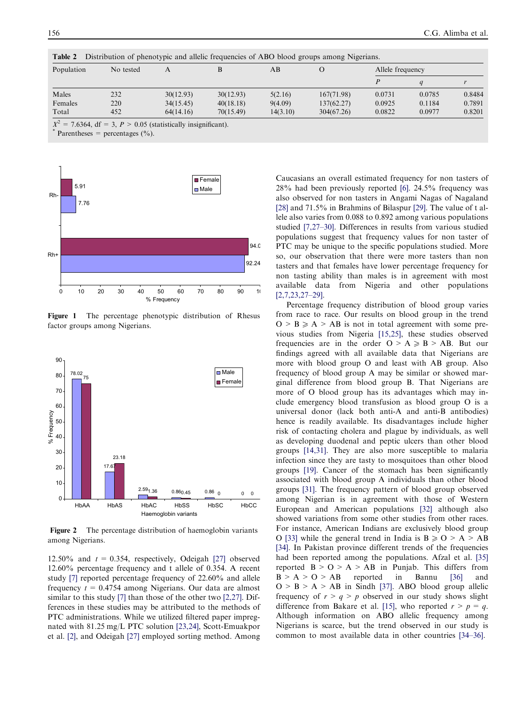| Population | No tested | А         |           | AВ       | O          | Allele frequency |        |        |
|------------|-----------|-----------|-----------|----------|------------|------------------|--------|--------|
|            |           |           |           |          |            |                  |        |        |
| Males      | 232       | 30(12.93) | 30(12.93) | 5(2.16)  | 167(71.98) | 0.0731           | 0.0785 | 0.8484 |
| Females    | 220       | 34(15.45) | 40(18.18) | 9(4.09)  | 137(62.27) | 0.0925           | 0.1184 | 0.7891 |
| Total      | 452       | 64(14.16) | 70(15.49) | 14(3.10) | 304(67.26) | 0.0822           | 0.0977 | 0.8201 |

<span id="page-3-0"></span>Table 2 Distribution of phenotypic and allelic frequencies of ABO blood groups among Nigerians.

Parentheses = percentages  $(\% )$ .



Figure 1 The percentage phenotypic distribution of Rhesus factor groups among Nigerians.



Figure 2 The percentage distribution of haemoglobin variants among Nigerians.

12.50% and  $t = 0.354$ , respectively, Odeigah [\[27\]](#page-5-0) observed 12.60% percentage frequency and t allele of 0.354. A recent study [\[7\]](#page-4-0) reported percentage frequency of 22.60% and allele frequency  $t = 0.4754$  among Nigerians. Our data are almost similar to this study [\[7\]](#page-4-0) than those of the other two [\[2,27\]](#page-4-0). Differences in these studies may be attributed to the methods of PTC administrations. While we utilized filtered paper impregnated with 81.25 mg/L PTC solution [\[23,24\],](#page-5-0) Scott-Emuakpor et al. [\[2\]](#page-4-0), and Odeigah [\[27\]](#page-5-0) employed sorting method. Among

Caucasians an overall estimated frequency for non tasters of 28% had been previously reported [\[6\]](#page-4-0). 24.5% frequency was also observed for non tasters in Angami Nagas of Nagaland [\[28\]](#page-5-0) and 71.5% in Brahmins of Bilaspur [\[29\]](#page-5-0). The value of t allele also varies from 0.088 to 0.892 among various populations studied [\[7,27–30\]](#page-4-0). Differences in results from various studied populations suggest that frequency values for non taster of PTC may be unique to the specific populations studied. More so, our observation that there were more tasters than non tasters and that females have lower percentage frequency for non tasting ability than males is in agreement with most available data from Nigeria and other populations [\[2,7,23,27–29\]](#page-4-0).

Percentage frequency distribution of blood group varies from race to race. Our results on blood group in the trend  $O > B \geq A > AB$  is not in total agreement with some previous studies from Nigeria [\[15,25\],](#page-4-0) these studies observed frequencies are in the order  $O > A \geq B > AB$ . But our findings agreed with all available data that Nigerians are more with blood group O and least with AB group. Also frequency of blood group A may be similar or showed marginal difference from blood group B. That Nigerians are more of O blood group has its advantages which may include emergency blood transfusion as blood group O is a universal donor (lack both anti-A and anti-B antibodies) hence is readily available. Its disadvantages include higher risk of contacting cholera and plague by individuals, as well as developing duodenal and peptic ulcers than other blood groups [\[14,31\]](#page-4-0). They are also more susceptible to malaria infection since they are tasty to mosquitoes than other blood groups [\[19\].](#page-5-0) Cancer of the stomach has been significantly associated with blood group A individuals than other blood groups [\[31\].](#page-5-0) The frequency pattern of blood group observed among Nigerian is in agreement with those of Western European and American populations [\[32\]](#page-5-0) although also showed variations from some other studies from other races. For instance, American Indians are exclusively blood group O [\[33\]](#page-5-0) while the general trend in India is  $B \ge 0$  > A > AB [\[34\].](#page-5-0) In Pakistan province different trends of the frequencies had been reported among the populations. Afzal et al. [\[35\]](#page-5-0) reported  $B > 0 > A > AB$  in Punjab. This differs from  $B > A > O > AB$  reported in Bannu [\[36\]](#page-5-0) and  $O > B > A > AB$  in Sindh [\[37\].](#page-5-0) ABO blood group allelic frequency of  $r > q > p$  observed in our study shows slight difference from Bakare et al. [\[15\],](#page-4-0) who reported  $r > p = q$ . Although information on ABO allelic frequency among Nigerians is scarce, but the trend observed in our study is common to most available data in other countries [\[34–36\]](#page-5-0).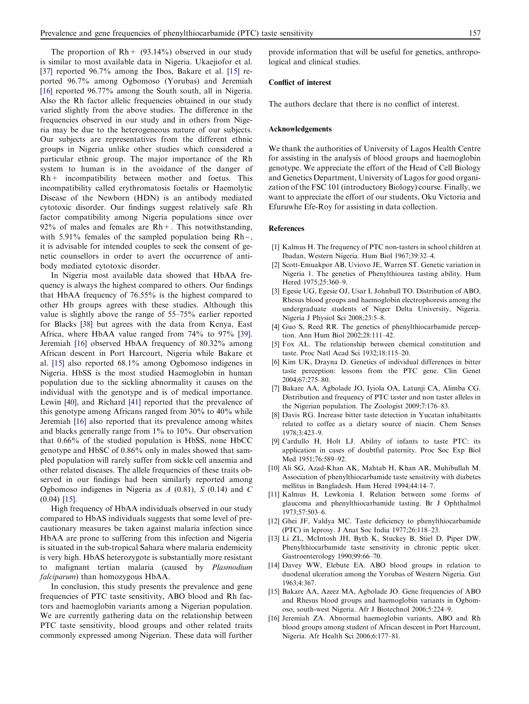<span id="page-4-0"></span>The proportion of  $Rh + (93.14\%)$  observed in our study is similar to most available data in Nigeria. Ukaejiofor et al. [\[37\]](#page-5-0) reported 96.7% among the Ibos, Bakare et al. [15] reported 96.7% among Ogbomoso (Yorubas) and Jeremiah [16] reported 96.77% among the South south, all in Nigeria. Also the Rh factor allelic frequencies obtained in our study varied slightly from the above studies. The difference in the frequencies observed in our study and in others from Nigeria may be due to the heterogeneous nature of our subjects. Our subjects are representatives from the different ethnic groups in Nigeria unlike other studies which considered a particular ethnic group. The major importance of the Rh system to human is in the avoidance of the danger of Rh+ incompatibility between mother and foetus. This incompatibility called erythromatosis foetalis or Haemolytic Disease of the Newborn (HDN) is an antibody mediated cytotoxic disorder. Our findings suggest relatively safe Rh factor compatibility among Nigeria populations since over  $92\%$  of males and females are Rh +. This notwithstanding, with 5.91% females of the sampled population being Rh-, it is advisable for intended couples to seek the consent of genetic counsellors in order to avert the occurrence of antibody mediated cytotoxic disorder.

In Nigeria most available data showed that HbAA frequency is always the highest compared to others. Our findings that HbAA frequency of 76.55% is the highest compared to other Hb groups agrees with these studies. Although this value is slightly above the range of 55–75% earlier reported for Blacks [\[38\]](#page-5-0) but agrees with the data from Kenya, East Africa, where HbAA value ranged from 74% to 97% [\[39\]](#page-5-0). Jeremiah [16] observed HbAA frequency of 80.32% among African descent in Port Harcourt, Nigeria while Bakare et al. [15] also reported 68.1% among Ogbomoso indigenes in Nigeria. HbSS is the most studied Haemoglobin in human population due to the sickling abnormality it causes on the individual with the genotype and is of medical importance. Lewin [\[40\]](#page-5-0), and Richard [\[41\]](#page-5-0) reported that the prevalence of this genotype among Africans ranged from 30% to 40% while Jeremiah [16] also reported that its prevalence among whites and blacks generally range from 1% to 10%. Our observation that 0.66% of the studied population is HbSS, none HbCC genotype and HbSC of 0.86% only in males showed that sampled population will rarely suffer from sickle cell anaemia and other related diseases. The allele frequencies of these traits observed in our findings had been similarly reported among Ogbomoso indigenes in Nigeria as  $A$  (0.81),  $S$  (0.14) and  $C$ (0.04) [15].

High frequency of HbAA individuals observed in our study compared to HbAS individuals suggests that some level of precautionary measures be taken against malaria infection since HbAA are prone to suffering from this infection and Nigeria is situated in the sub-tropical Sahara where malaria endemicity is very high. HbAS heterozygote is substantially more resistant to malignant tertian malaria (caused by Plasmodium falciparum) than homozygous HbAA.

In conclusion, this study presents the prevalence and gene frequencies of PTC taste sensitivity, ABO blood and Rh factors and haemoglobin variants among a Nigerian population. We are currently gathering data on the relationship between PTC taste sensitivity, blood groups and other related traits commonly expressed among Nigerian. These data will further provide information that will be useful for genetics, anthropological and clinical studies.

# Conflict of interest

The authors declare that there is no conflict of interest.

#### Acknowledgements

We thank the authorities of University of Lagos Health Centre for assisting in the analysis of blood groups and haemoglobin genotype. We appreciate the effort of the Head of Cell Biology and Genetics Department, University of Lagos for good organization of the FSC 101 (introductory Biology) course. Finally, we want to appreciate the effort of our students, Oku Victoria and Efuruwhe Efe-Roy for assisting in data collection.

# References

- [1] Kalmus H. The frequency of PTC non-tasters in school children at Ibadan, Western Nigeria. Hum Biol 1967;39:32–4.
- [2] Scott-Emuakpor AB, Uviovo JE, Warren ST. Genetic variation in Nigeria 1. The genetics of Phenylthiourea tasting ability. Hum Hered 1975;25:360–9.
- [3] Egesie UG, Egesie OJ, Usar I, Johnbull TO. Distribution of ABO, Rhesus blood groups and haemoglobin electrophoresis among the undergraduate students of Niger Delta University, Nigeria. Nigeria J Physiol Sci 2008;23:5–8.
- [4] Guo S, Reed RR. The genetics of phenylthiocarbamide perception. Ann Hum Biol 2002;28:111–42.
- [5] Fox AL. The relationship between chemical constitution and taste. Proc Natl Acad Sci 1932;18:115–20.
- [6] Kim UK, Drayna D. Genetics of individual differences in bitter taste perception: lessons from the PTC gene. Clin Genet 2004;67:275–80.
- [7] Bakare AA, Agbolade JO, Iyiola OA, Latunji CA, Alimba CG. Distribution and frequency of PTC taster and non taster alleles in the Nigerian population. The Zoologist 2009;7:176–83.
- [8] Davis RG. Increase bitter taste detection in Yucatan inhabitants related to coffee as a dietary source of niacin. Chem Senses 1978;3:423–9.
- [9] Cardullo H, Holt LJ. Ability of infants to taste PTC: its application in cases of doubtful paternity. Proc Soc Exp Biol Med 1951;76:589–92.
- [10] Ali SG, Azad-Khan AK, Mahtab H, Khan AR, Muhibullah M. Association of phenylthiocarbamide taste sensitivity with diabetes mellitus in Bangladesh. Hum Hered 1994;44:14–7.
- [11] Kalmus H, Lewkonia I. Relation between some forms of glaucoma and phenylthiocarbamide tasting. Br J Ophthalmol 1973;57:503–6.
- [12] Ghei JF, Valdya MC. Taste deficiency to phenylthiocarbamide (PTC) in leprosy. J Anat Soc India 1977;26:118–23.
- [13] Li ZL, McIntosh JH, Byth K, Stuckey B, Stiel D, Piper DW. Phenylthiocarbamide taste sensitivity in chronic peptic ulcer. Gastroenterology 1990;99:66–70.
- [14] Davey WW, Elebute EA. ABO blood groups in relation to duodenal ulceration among the Yorubas of Western Nigeria. Gut 1963;4:367.
- [15] Bakare AA, Azeez MA, Agbolade JO. Gene frequencies of ABO and Rhesus blood groups and haemoglobin variants in Ogbomoso, south-west Nigeria. Afr J Biotechnol 2006;5:224–9.
- [16] Jeremiah ZA. Abnormal haemoglobin variants, ABO and Rh blood groups among student of African descent in Port Harcount, Nigeria. Afr Health Sci 2006;6:177–81.